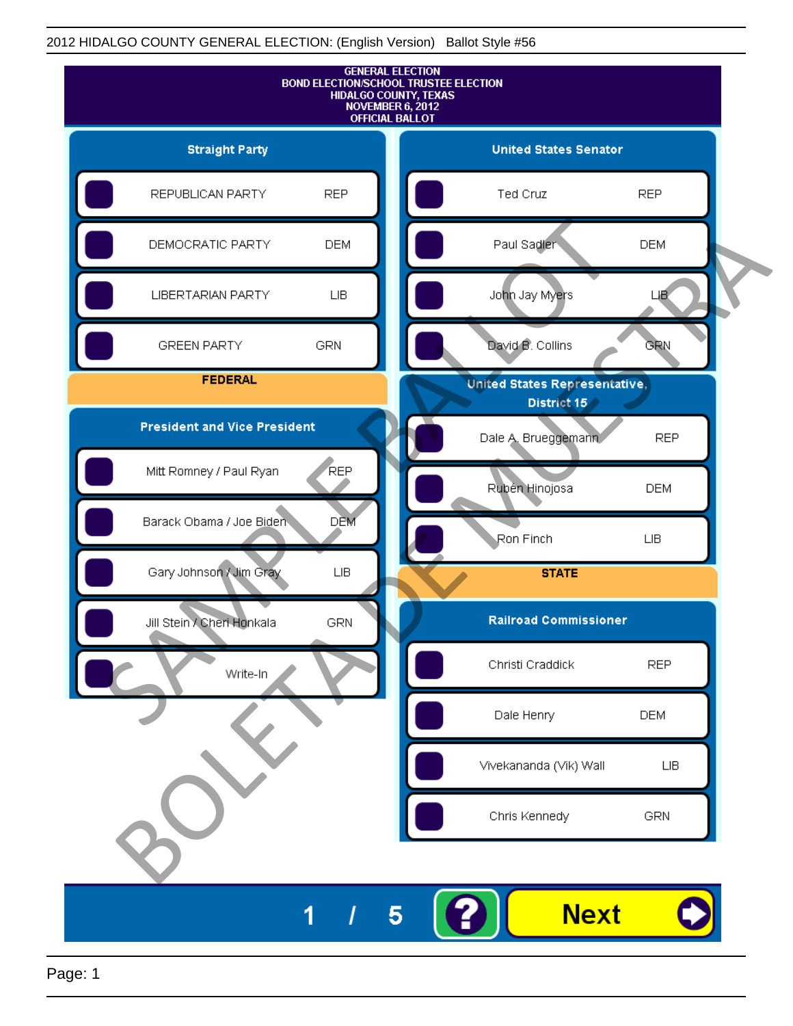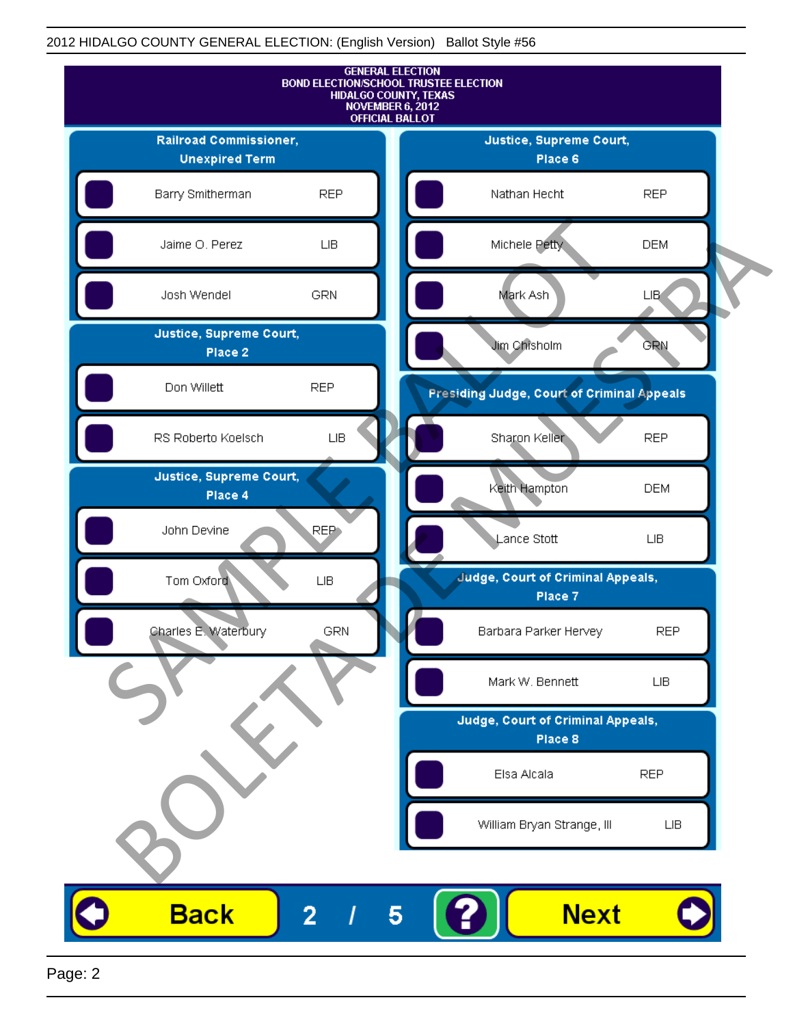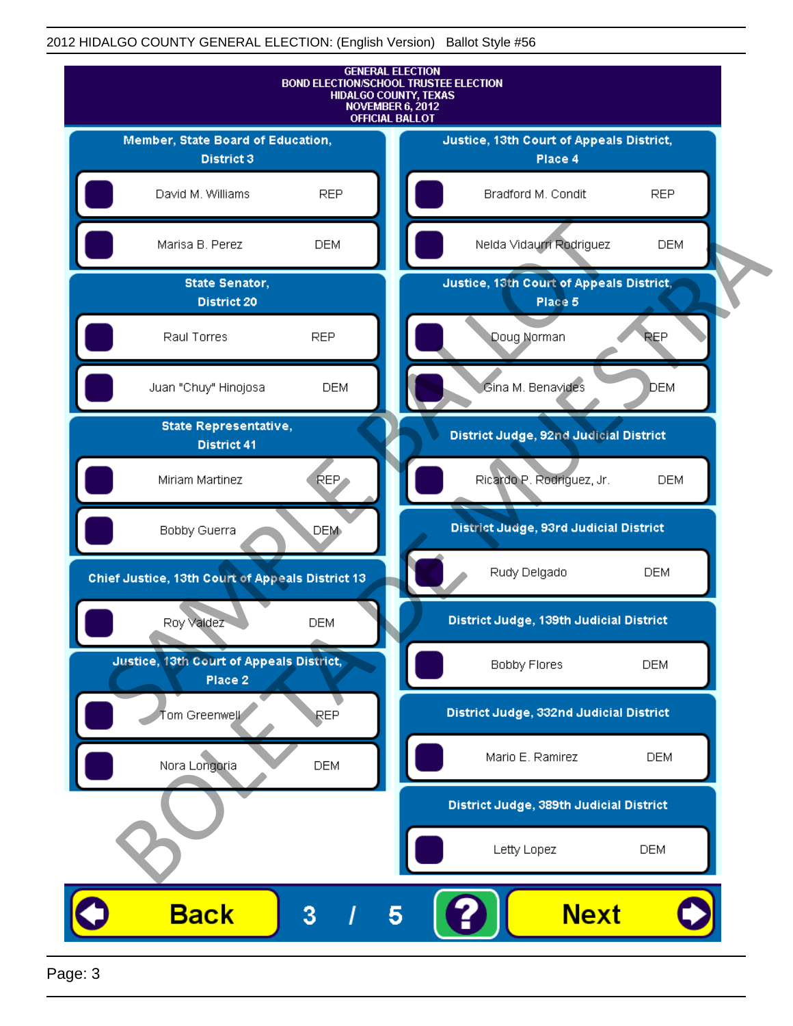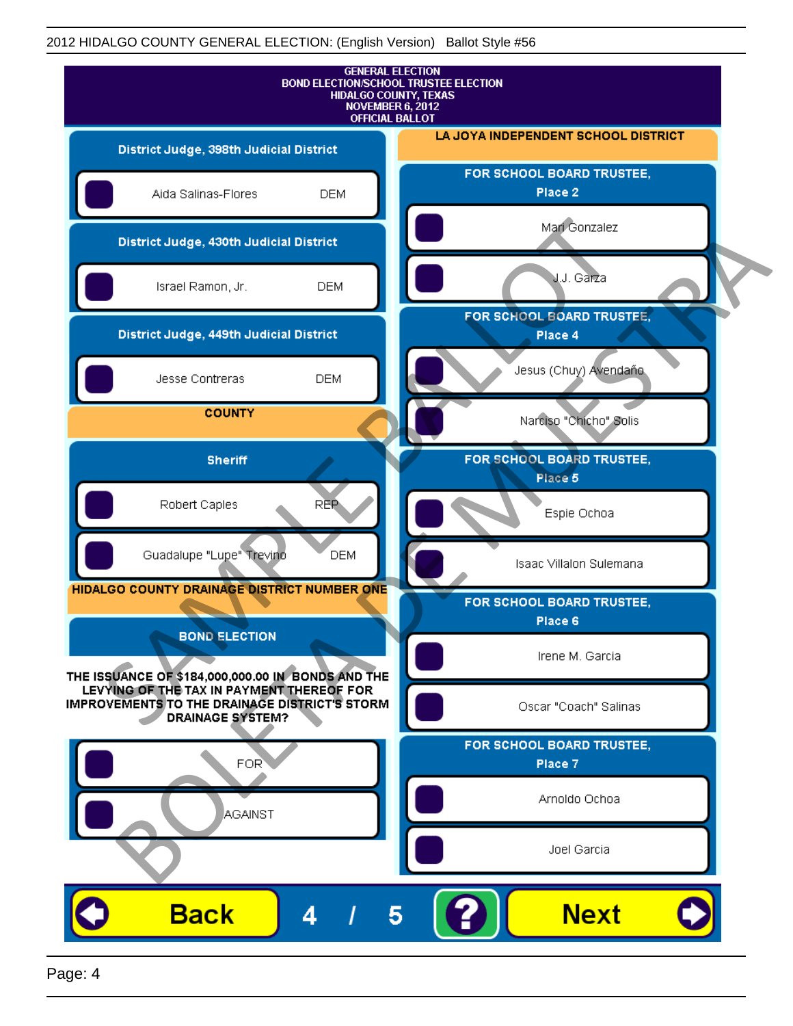

Page: 4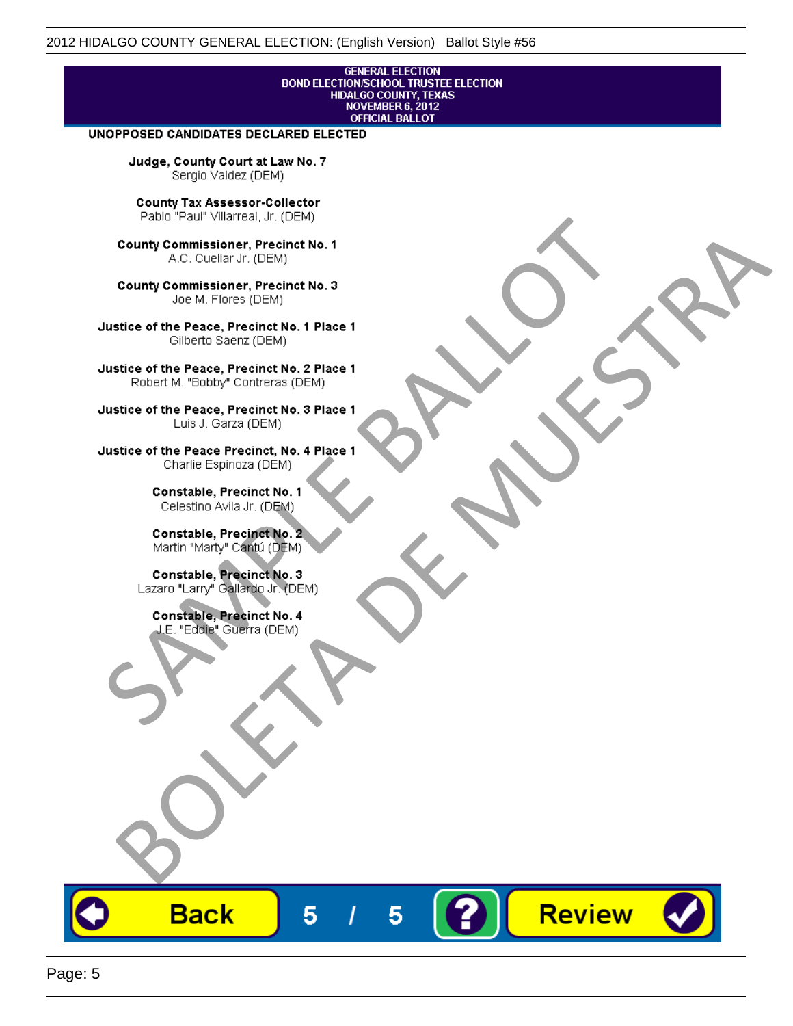# **GENERAL ELECTION** BOND ELECTION/SCHOOL TRUSTEE ELECTION<br>HIDALGO COUNTY, TEXAS<br>NOVEMBER 6, 2012<br>OFFICIAL BALLOT

Review

#### UNOPPOSED CANDIDATES DECLARED ELECTED

Judge, County Court at Law No. 7 Sergio Valdez (DEM)

County Tax Assessor-Collector

Frame The Passe, Precinct No. 1<br>
County Commissioner, Precinct No. 1<br>
SC. Cutellar Jr. (DEM)<br>
County Commissioner, Precinct No. 2<br>
Ulastice of the Peace, Precinct No. 2<br>
Ulastice of the Peace, Precinct No. 2<br>
Robert M. "Bl County Commissioner, Precinat No. 1<br>
A County Commissioner, Precinat No. 3<br>
Use of the Peace, Precinat No. 3<br>
Use of the Peace, Precinat No. 1<br>
There is a precinc No. 2<br>
There is a precinc No. 2<br>
There is a precinc No. 2<br>

**Back** 

5

5

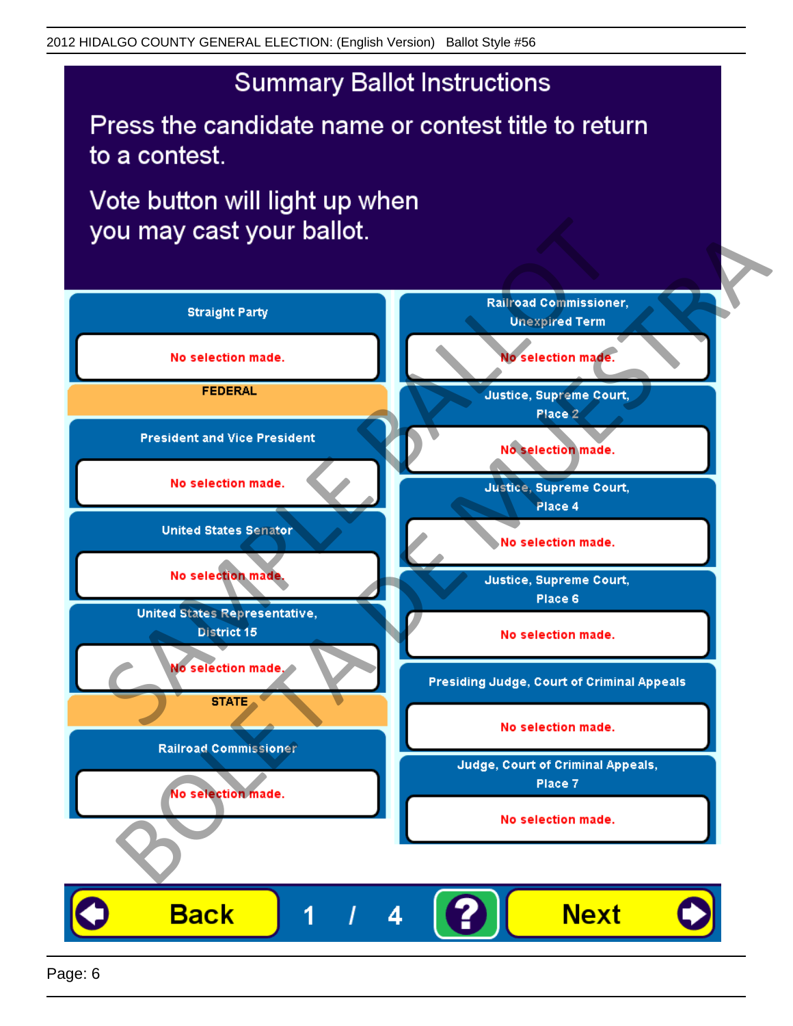Press the candidate name or contest title to return to a contest.

Vote button will light up when

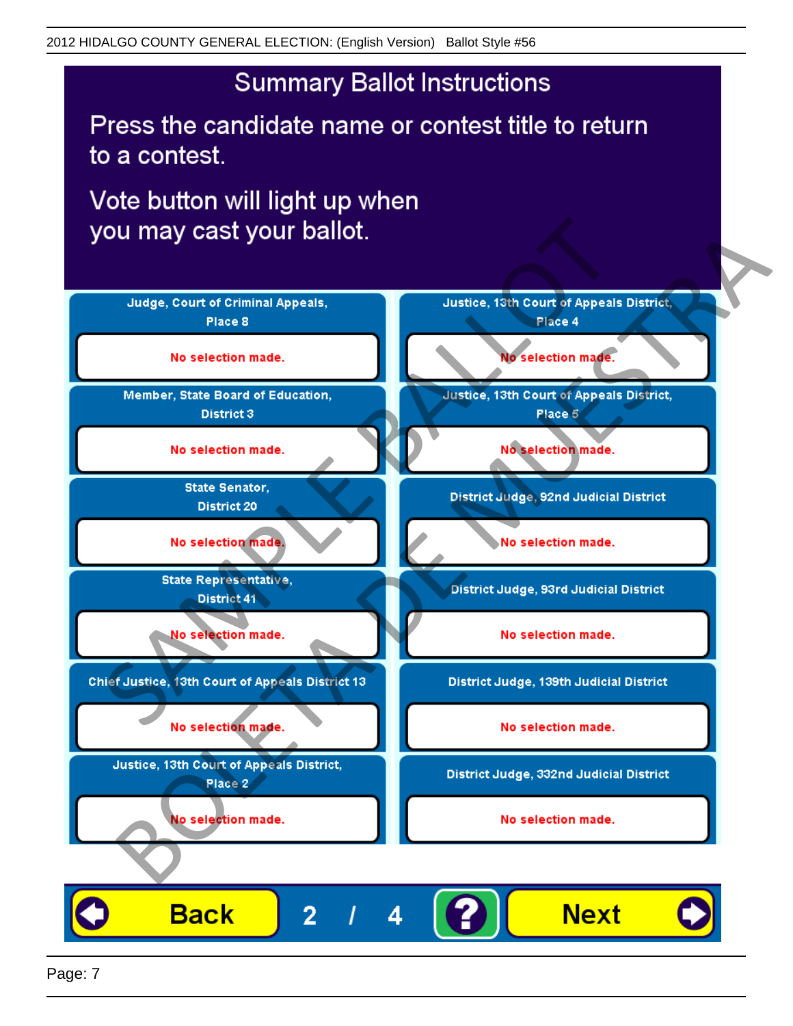Press the candidate name or contest title to return to a contest.

Vote button will light up when



Page: 7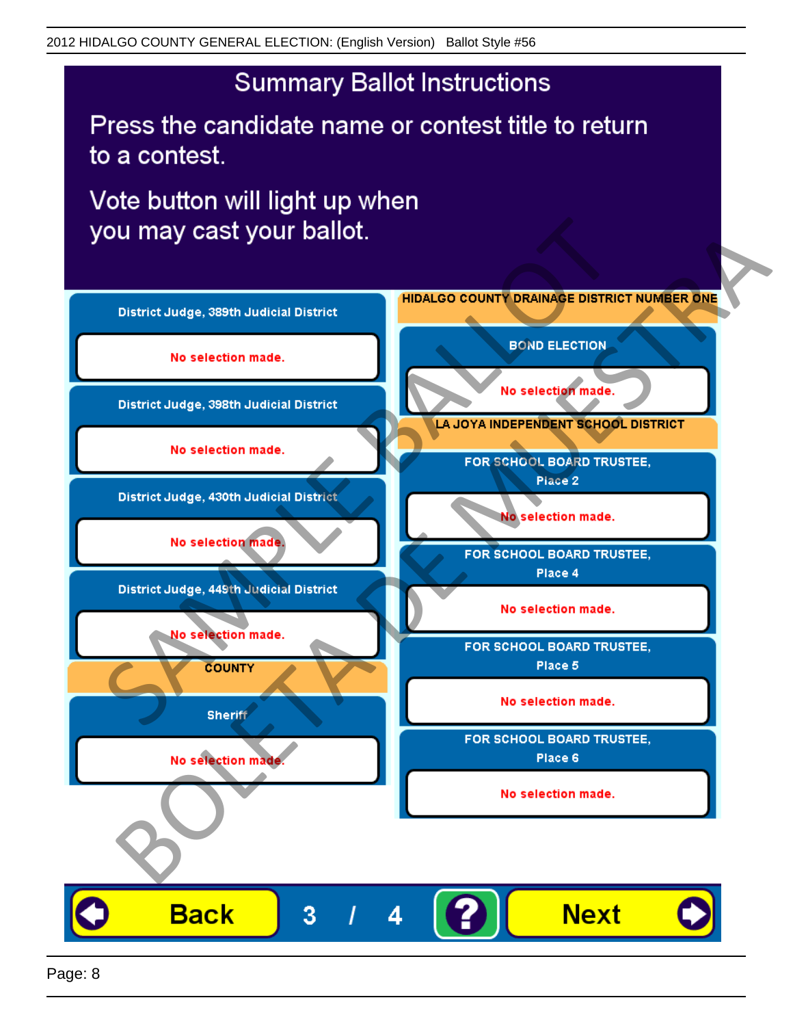Press the candidate name or contest title to return to a contest.

Vote button will light up when